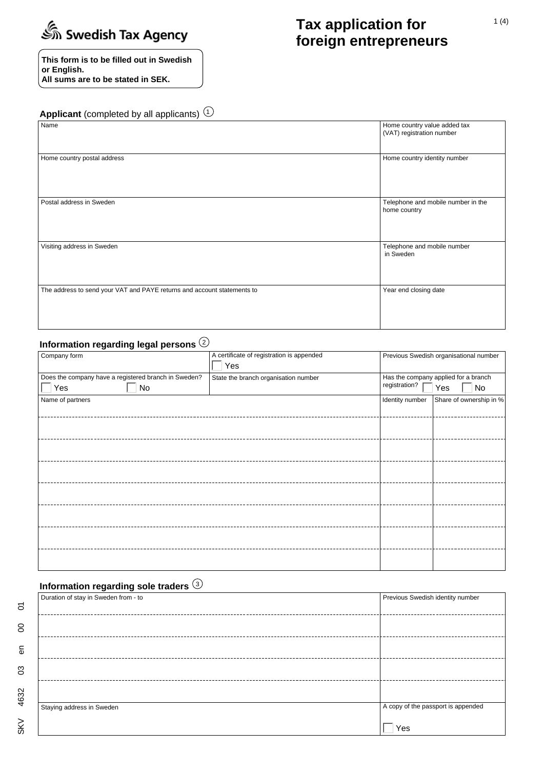

**This form is to be filled out in Swedish or English. All sums are to be stated in SEK.**

# **Tax application for foreign entrepreneurs**

**Applicant** (completed by all applicants)  $\textcircled{\tiny{1}}$ 

| Name                                                                    | Home country value added tax<br>(VAT) registration number |
|-------------------------------------------------------------------------|-----------------------------------------------------------|
| Home country postal address                                             | Home country identity number                              |
| Postal address in Sweden                                                | Telephone and mobile number in the<br>home country        |
| Visiting address in Sweden                                              | Telephone and mobile number<br>in Sweden                  |
| The address to send your VAT and PAYE returns and account statements to | Year end closing date                                     |

# **Information regarding legal persons** 2

| Company form                                         | A certificate of registration is appended |                 | Previous Swedish organisational number |
|------------------------------------------------------|-------------------------------------------|-----------------|----------------------------------------|
|                                                      | Yes                                       |                 |                                        |
| Does the company have a registered branch in Sweden? | State the branch organisation number      |                 | Has the company applied for a branch   |
| Yes<br>No                                            |                                           | registration?   | Yes<br>No                              |
| Name of partners                                     |                                           | Identity number | Share of ownership in %                |
|                                                      |                                           |                 |                                        |
|                                                      |                                           |                 |                                        |
|                                                      | -----------------------------------       |                 |                                        |
|                                                      |                                           |                 |                                        |
|                                                      |                                           |                 |                                        |
|                                                      |                                           |                 |                                        |
|                                                      |                                           |                 |                                        |
|                                                      |                                           |                 |                                        |
|                                                      |                                           |                 |                                        |
|                                                      |                                           |                 |                                        |
|                                                      |                                           |                 |                                        |
|                                                      |                                           |                 |                                        |
|                                                      |                                           |                 |                                        |
|                                                      |                                           |                 |                                        |
|                                                      |                                           |                 |                                        |

# **Information regarding sole traders** 3

| Duration of stay in Sweden from - to | Previous Swedish identity number   |
|--------------------------------------|------------------------------------|
|                                      |                                    |
|                                      |                                    |
|                                      |                                    |
|                                      |                                    |
|                                      |                                    |
| Staying address in Sweden            | A copy of the passport is appended |
|                                      | Yes                                |

 $\overline{\circ}$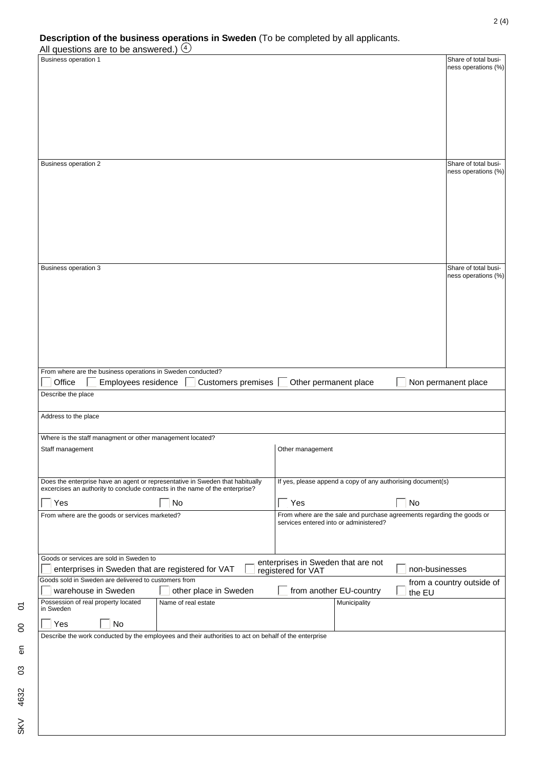|                                          | Description of the business operations in Sweden (To be completed by all applicants. |  |
|------------------------------------------|--------------------------------------------------------------------------------------|--|
|                                          |                                                                                      |  |
| All questions are to be answered.) $(4)$ |                                                                                      |  |

| All questions are to be answered.) $(4)$                                      |                                                                                                       |                                        |                         |                                                                        |                                             |
|-------------------------------------------------------------------------------|-------------------------------------------------------------------------------------------------------|----------------------------------------|-------------------------|------------------------------------------------------------------------|---------------------------------------------|
| Business operation 1                                                          |                                                                                                       |                                        |                         |                                                                        | Share of total busi-                        |
|                                                                               |                                                                                                       |                                        |                         |                                                                        | ness operations (%)                         |
|                                                                               |                                                                                                       |                                        |                         |                                                                        |                                             |
|                                                                               |                                                                                                       |                                        |                         |                                                                        |                                             |
|                                                                               |                                                                                                       |                                        |                         |                                                                        |                                             |
|                                                                               |                                                                                                       |                                        |                         |                                                                        |                                             |
|                                                                               |                                                                                                       |                                        |                         |                                                                        |                                             |
|                                                                               |                                                                                                       |                                        |                         |                                                                        |                                             |
|                                                                               |                                                                                                       |                                        |                         |                                                                        |                                             |
|                                                                               |                                                                                                       |                                        |                         |                                                                        |                                             |
| <b>Business operation 2</b>                                                   |                                                                                                       |                                        |                         |                                                                        | Share of total busi-                        |
|                                                                               |                                                                                                       |                                        |                         |                                                                        | ness operations (%)                         |
|                                                                               |                                                                                                       |                                        |                         |                                                                        |                                             |
|                                                                               |                                                                                                       |                                        |                         |                                                                        |                                             |
|                                                                               |                                                                                                       |                                        |                         |                                                                        |                                             |
|                                                                               |                                                                                                       |                                        |                         |                                                                        |                                             |
|                                                                               |                                                                                                       |                                        |                         |                                                                        |                                             |
|                                                                               |                                                                                                       |                                        |                         |                                                                        |                                             |
|                                                                               |                                                                                                       |                                        |                         |                                                                        |                                             |
|                                                                               |                                                                                                       |                                        |                         |                                                                        |                                             |
|                                                                               |                                                                                                       |                                        |                         |                                                                        |                                             |
| <b>Business operation 3</b>                                                   |                                                                                                       |                                        |                         |                                                                        | Share of total busi-<br>ness operations (%) |
|                                                                               |                                                                                                       |                                        |                         |                                                                        |                                             |
|                                                                               |                                                                                                       |                                        |                         |                                                                        |                                             |
|                                                                               |                                                                                                       |                                        |                         |                                                                        |                                             |
|                                                                               |                                                                                                       |                                        |                         |                                                                        |                                             |
|                                                                               |                                                                                                       |                                        |                         |                                                                        |                                             |
|                                                                               |                                                                                                       |                                        |                         |                                                                        |                                             |
|                                                                               |                                                                                                       |                                        |                         |                                                                        |                                             |
|                                                                               |                                                                                                       |                                        |                         |                                                                        |                                             |
|                                                                               |                                                                                                       |                                        |                         |                                                                        |                                             |
| From where are the business operations in Sweden conducted?                   |                                                                                                       |                                        |                         |                                                                        |                                             |
| Office<br>Employees residence                                                 | Customers premises                                                                                    | Other permanent place                  |                         |                                                                        | Non permanent place                         |
| Describe the place                                                            |                                                                                                       |                                        |                         |                                                                        |                                             |
|                                                                               |                                                                                                       |                                        |                         |                                                                        |                                             |
| Address to the place                                                          |                                                                                                       |                                        |                         |                                                                        |                                             |
|                                                                               |                                                                                                       |                                        |                         |                                                                        |                                             |
| Where is the staff managment or other management located?                     |                                                                                                       |                                        |                         |                                                                        |                                             |
| Staff management                                                              |                                                                                                       | Other management                       |                         |                                                                        |                                             |
|                                                                               |                                                                                                       |                                        |                         |                                                                        |                                             |
|                                                                               |                                                                                                       |                                        |                         |                                                                        |                                             |
| Does the enterprise have an agent or representative in Sweden that habitually |                                                                                                       |                                        |                         | If yes, please append a copy of any authorising document(s)            |                                             |
| excercises an authority to conclude contracts in the name of the enterprise?  |                                                                                                       |                                        |                         |                                                                        |                                             |
|                                                                               |                                                                                                       |                                        |                         |                                                                        |                                             |
| Yes                                                                           | <b>No</b>                                                                                             | Yes                                    |                         | No                                                                     |                                             |
| From where are the goods or services marketed?                                |                                                                                                       | services entered into or administered? |                         | From where are the sale and purchase agreements regarding the goods or |                                             |
|                                                                               |                                                                                                       |                                        |                         |                                                                        |                                             |
|                                                                               |                                                                                                       |                                        |                         |                                                                        |                                             |
|                                                                               |                                                                                                       |                                        |                         |                                                                        |                                             |
| Goods or services are sold in Sweden to                                       |                                                                                                       | enterprises in Sweden that are not     |                         |                                                                        |                                             |
| enterprises in Sweden that are registered for VAT                             |                                                                                                       | registered for VAT                     |                         | non-businesses                                                         |                                             |
| Goods sold in Sweden are delivered to customers from                          |                                                                                                       |                                        |                         |                                                                        | from a country outside of                   |
| warehouse in Sweden                                                           | other place in Sweden                                                                                 |                                        | from another EU-country | the EU                                                                 |                                             |
| Possession of real property located                                           | Name of real estate                                                                                   |                                        | Municipality            |                                                                        |                                             |
| in Sweden                                                                     |                                                                                                       |                                        |                         |                                                                        |                                             |
| No<br>Yes                                                                     |                                                                                                       |                                        |                         |                                                                        |                                             |
|                                                                               |                                                                                                       |                                        |                         |                                                                        |                                             |
|                                                                               | Describe the work conducted by the employees and their authorities to act on behalf of the enterprise |                                        |                         |                                                                        |                                             |
|                                                                               |                                                                                                       |                                        |                         |                                                                        |                                             |
|                                                                               |                                                                                                       |                                        |                         |                                                                        |                                             |
|                                                                               |                                                                                                       |                                        |                         |                                                                        |                                             |
|                                                                               |                                                                                                       |                                        |                         |                                                                        |                                             |
|                                                                               |                                                                                                       |                                        |                         |                                                                        |                                             |
|                                                                               |                                                                                                       |                                        |                         |                                                                        |                                             |
|                                                                               |                                                                                                       |                                        |                         |                                                                        |                                             |
|                                                                               |                                                                                                       |                                        |                         |                                                                        |                                             |
|                                                                               |                                                                                                       |                                        |                         |                                                                        |                                             |
|                                                                               |                                                                                                       |                                        |                         |                                                                        |                                             |

 $\overline{\text{c}}$ 

SKV 4632

 $\overline{\overline{6}}$ 

 $\overline{5}$ 

 $\infty$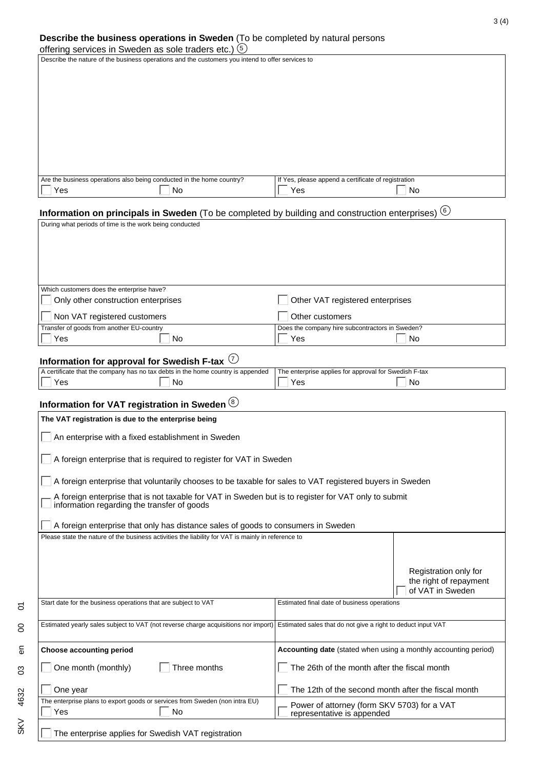#### **Describe the business operations in Sweden** (To be completed by natural persons

| offering services in Sweden as sole traders etc.) (5) |  |  |  |  |  |  |  |  |
|-------------------------------------------------------|--|--|--|--|--|--|--|--|
|-------------------------------------------------------|--|--|--|--|--|--|--|--|

 $\overline{\text{c}}$ 

4632

SKV

 $\overline{5}$ 

 $\overline{S}$ 

Describe the nature of the business operations and the customers you intend to offer services to

| Are the business operations also being conducted in the home country?<br>If Yes, please append a certificate of registration |  |
|------------------------------------------------------------------------------------------------------------------------------|--|
|                                                                                                                              |  |
| No<br>.No<br>≚es<br>Yes                                                                                                      |  |

# **Information on principals in Sweden** (To be completed by building and construction enterprises) 6

| During what periods of time is the work being conducted                         |                                                       |
|---------------------------------------------------------------------------------|-------------------------------------------------------|
|                                                                                 |                                                       |
|                                                                                 |                                                       |
|                                                                                 |                                                       |
|                                                                                 |                                                       |
|                                                                                 |                                                       |
| Which customers does the enterprise have?                                       |                                                       |
| Only other construction enterprises                                             | Other VAT registered enterprises                      |
| Non VAT registered customers                                                    | Other customers                                       |
| Transfer of goods from another EU-country                                       | Does the company hire subcontractors in Sweden?       |
| Yes<br>No                                                                       | Yes<br>No                                             |
|                                                                                 |                                                       |
| Information for approval for Swedish F-tax $\left\langle U\right\rangle$        |                                                       |
| A certificate that the company has no tax debts in the home country is appended | The enterprise applies for approval for Swedish F-tax |
| No<br>Yes                                                                       | Yes<br>No                                             |
| Information for VAT registration in Sweden (8)                                  |                                                       |
| The VAT registration is due to the enterprise being                             |                                                       |

| The VAT registration is due to the enterprise being                                                                                                                   |                                                                     |  |  |  |  |
|-----------------------------------------------------------------------------------------------------------------------------------------------------------------------|---------------------------------------------------------------------|--|--|--|--|
| An enterprise with a fixed establishment in Sweden                                                                                                                    |                                                                     |  |  |  |  |
|                                                                                                                                                                       | A foreign enterprise that is required to register for VAT in Sweden |  |  |  |  |
| A foreign enterprise that voluntarily chooses to be taxable for sales to VAT registered buyers in Sweden                                                              |                                                                     |  |  |  |  |
| A foreign enterprise that is not taxable for VAT in Sweden but is to register for VAT only to submit<br>information regarding the transfer of goods                   |                                                                     |  |  |  |  |
| A foreign enterprise that only has distance sales of goods to consumers in Sweden                                                                                     |                                                                     |  |  |  |  |
| Please state the nature of the business activities the liability for VAT is mainly in reference to                                                                    |                                                                     |  |  |  |  |
|                                                                                                                                                                       |                                                                     |  |  |  |  |
| Registration only for<br>the right of repayment<br>of VAT in Sweden                                                                                                   |                                                                     |  |  |  |  |
| Start date for the business operations that are subject to VAT                                                                                                        | Estimated final date of business operations                         |  |  |  |  |
| Estimated yearly sales subject to VAT (not reverse charge acquisitions nor import)                                                                                    | Estimated sales that do not give a right to deduct input VAT        |  |  |  |  |
| <b>Choose accounting period</b>                                                                                                                                       | Accounting date (stated when using a monthly accounting period)     |  |  |  |  |
| One month (monthly)<br>Three months                                                                                                                                   | The 26th of the month after the fiscal month                        |  |  |  |  |
| The 12th of the second month after the fiscal month<br>One year                                                                                                       |                                                                     |  |  |  |  |
| The enterprise plans to export goods or services from Sweden (non intra EU)<br>Power of attorney (form SKV 5703) for a VAT<br>Yes<br>No<br>representative is appended |                                                                     |  |  |  |  |
| The enterprise applies for Swedish VAT registration                                                                                                                   |                                                                     |  |  |  |  |